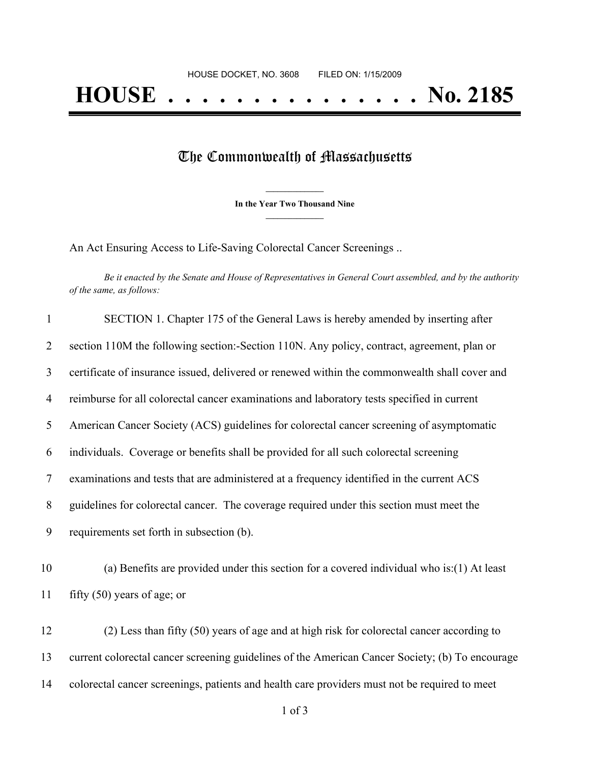## The Commonwealth of Massachusetts

**\_\_\_\_\_\_\_\_\_\_\_\_\_\_\_ In the Year Two Thousand Nine \_\_\_\_\_\_\_\_\_\_\_\_\_\_\_**

An Act Ensuring Access to Life-Saving Colorectal Cancer Screenings ..

Be it enacted by the Senate and House of Representatives in General Court assembled, and by the authority *of the same, as follows:*

| $\mathbf{1}$   | SECTION 1. Chapter 175 of the General Laws is hereby amended by inserting after                 |
|----------------|-------------------------------------------------------------------------------------------------|
| $\overline{2}$ | section 110M the following section:-Section 110N. Any policy, contract, agreement, plan or      |
| $\overline{3}$ | certificate of insurance issued, delivered or renewed within the commonwealth shall cover and   |
| $\overline{4}$ | reimburse for all colorectal cancer examinations and laboratory tests specified in current      |
| 5              | American Cancer Society (ACS) guidelines for colorectal cancer screening of asymptomatic        |
| 6              | individuals. Coverage or benefits shall be provided for all such colorectal screening           |
| $\tau$         | examinations and tests that are administered at a frequency identified in the current ACS       |
| 8              | guidelines for colorectal cancer. The coverage required under this section must meet the        |
| 9              | requirements set forth in subsection (b).                                                       |
| 10             | (a) Benefits are provided under this section for a covered individual who is: $(1)$ At least    |
| 11             | fifty $(50)$ years of age; or                                                                   |
| 12             | (2) Less than fifty (50) years of age and at high risk for colorectal cancer according to       |
| 13             | current colorectal cancer screening guidelines of the American Cancer Society; (b) To encourage |
| 14             | colorectal cancer screenings, patients and health care providers must not be required to meet   |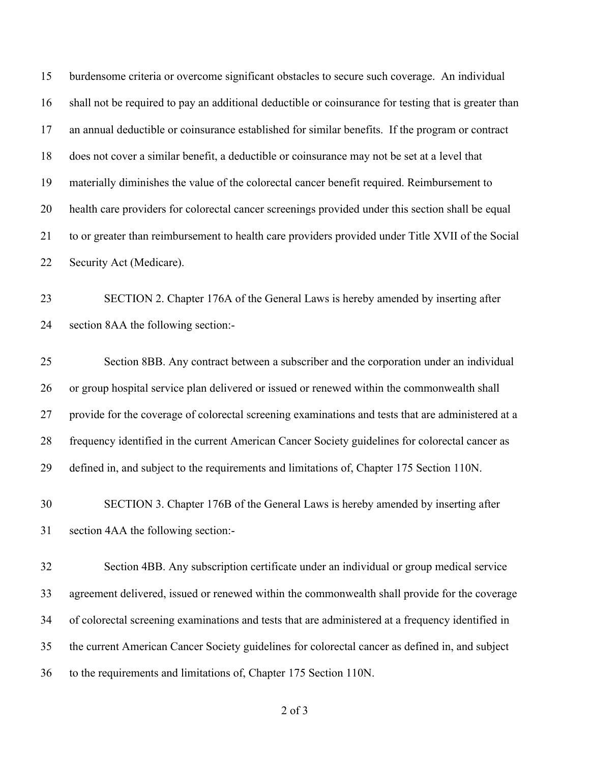burdensome criteria or overcome significant obstacles to secure such coverage. An individual shall not be required to pay an additional deductible or coinsurance for testing that is greater than an annual deductible or coinsurance established for similar benefits. If the program or contract does not cover a similar benefit, a deductible or coinsurance may not be set at a level that materially diminishes the value of the colorectal cancer benefit required. Reimbursement to health care providers for colorectal cancer screenings provided under this section shall be equal to or greater than reimbursement to health care providers provided under Title XVII of the Social Security Act (Medicare). SECTION 2. Chapter 176A of the General Laws is hereby amended by inserting after section 8AA the following section:- Section 8BB. Any contract between a subscriber and the corporation under an individual or group hospital service plan delivered or issued or renewed within the commonwealth shall provide for the coverage of colorectal screening examinations and tests that are administered at a frequency identified in the current American Cancer Society guidelines for colorectal cancer as defined in, and subject to the requirements and limitations of, Chapter 175 Section 110N. SECTION 3. Chapter 176B of the General Laws is hereby amended by inserting after section 4AA the following section:- Section 4BB. Any subscription certificate under an individual or group medical service agreement delivered, issued or renewed within the commonwealth shall provide for the coverage of colorectal screening examinations and tests that are administered at a frequency identified in

the current American Cancer Society guidelines for colorectal cancer as defined in, and subject

to the requirements and limitations of, Chapter 175 Section 110N.

of 3